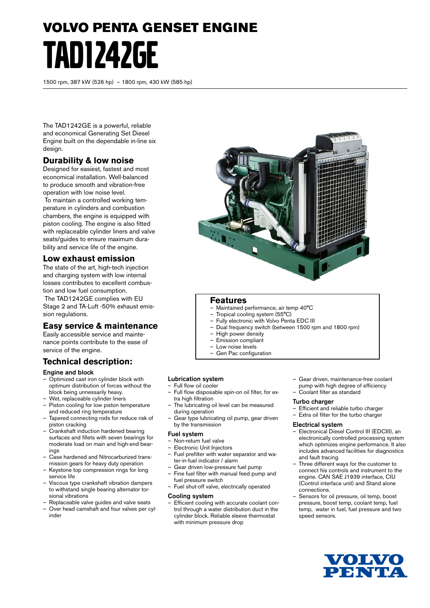# VOLVO PENTA GENSET ENGINE TAD1242GE

1500 rpm, 387 kW (526 hp) – 1800 rpm, 430 kW (585 hp)

The TAD1242GE is a powerful, reliable and economical Generating Set Diesel Engine built on the dependable in-line six design.

# **Durability & low noise**

Designed for easiest, fastest and most economical installation. Well-balanced to produce smooth and vibration-free operation with low noise level.

 To maintain a controlled working temperature in cylinders and combustion chambers, the engine is equipped with piston cooling. The engine is also fitted with replaceable cylinder liners and valve seats/guides to ensure maximum durability and service life of the engine.

## **Low exhaust emission**

The state of the art, high-tech injection and charging system with low internal losses contributes to excellent combustion and low fuel consumption.

 The TAD1242GE complies with EU Stage 2 and TA-Luft -50% exhaust emission regulations.

# **Easy service & maintenance**

Easily accessible service and maintenance points contribute to the ease of service of the engine.

# **Technical description:**

#### Engine and block

- Optimized cast iron cylinder block with optimum distribution of forces without the block being unnessarily heavy.
- Wet, replaceable cylinder liners
- Piston cooling for low piston temperature and reduced ring temperature
- Tapered connecting rods for reduce risk of piston cracking
- Crankshaft induction hardened bearing surfaces and fillets with seven bearings for moderate load on main and high-end bearings
- Case hardened and Nitrocarburized transmission gears for heavy duty operation
- Keystone top compression rings for long service life
- Viscous type crankshaft vibration dampers to withstand single bearing alternator torsional vibrations
- Replaceable valve guides and valve seats
- Over head camshaft and four valves per cylinder



### **Features**

- Maintained performance, air temp 40°C
- Tropical cooling system (55°C)
- Fully electronic with Volvo Penta EDC III – Dual frequency switch (between 1500 rpm and 1800 rpm)
- High power density
- Emission compliant
- Low noise levels
- Gen Pac configuration

#### Lubrication system

- Full flow oil cooler
- Full flow disposable spin-on oil filter, for extra high filtration
- The lubricating oil level can be measured during operation
- Gear type lubricating oil pump, gear driven by the transmission

#### Fuel system

- Non-return fuel valve
- Electronic Unit Injectors
- Fuel prefilter with water separator and water-in-fuel indicator / alarm
- Gear driven low-pressure fuel pump – Fine fuel filter with manual feed pump and
- fuel pressure switch
- Fuel shut-off valve, electrically operated

#### Cooling system

Efficient cooling with accurate coolant control through a water distribution duct in the cylinder block. Reliable sleeve thermostat with minimum pressure drop

- Gear driven, maintenance-free coolant pump with high degree of efficiency
- Coolant filter as standard

#### Turbo charger

- Efficient and reliable turbo charger
- Extra oil filter for the turbo charger

#### Electrical system

- Electronical Diesel Control III (EDCIII), an electronically controlled processing system which optimizes engine performance. It also includes advanced facilities for diagnostics and fault tracing
- Three different ways for the customer to connect his controls and instrument to the engine. CAN SAE J1939 interface, CIU (Control interface unit) and Stand alone connections.
- Sensors for oil pressure, oil temp, boost pressure, boost temp, coolant temp, fuel temp, water in fuel, fuel pressure and two speed sensors.